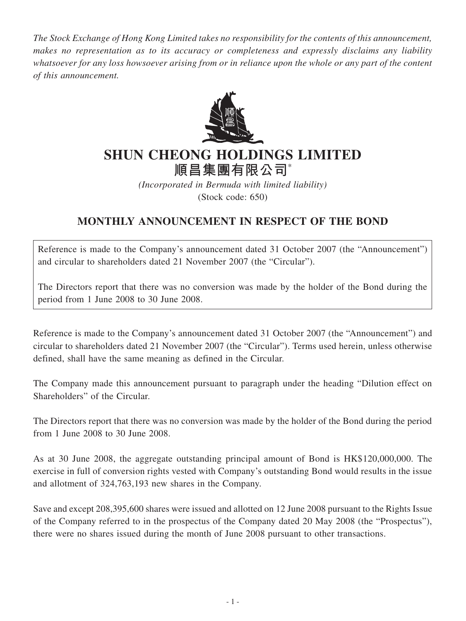*The Stock Exchange of Hong Kong Limited takes no responsibility for the contents of this announcement, makes no representation as to its accuracy or completeness and expressly disclaims any liability whatsoever for any loss howsoever arising from or in reliance upon the whole or any part of the content of this announcement.*



## **SHUN CHEONG HOLDINGS LIMITED 順昌集團有限公司**\*

*(Incorporated in Bermuda with limited liability)* (Stock code: 650)

## **MONTHLY ANNOUNCEMENT IN RESPECT OF THE BOND**

Reference is made to the Company's announcement dated 31 October 2007 (the "Announcement") and circular to shareholders dated 21 November 2007 (the "Circular").

The Directors report that there was no conversion was made by the holder of the Bond during the period from 1 June 2008 to 30 June 2008.

Reference is made to the Company's announcement dated 31 October 2007 (the "Announcement") and circular to shareholders dated 21 November 2007 (the "Circular"). Terms used herein, unless otherwise defined, shall have the same meaning as defined in the Circular.

The Company made this announcement pursuant to paragraph under the heading "Dilution effect on Shareholders" of the Circular.

The Directors report that there was no conversion was made by the holder of the Bond during the period from 1 June 2008 to 30 June 2008.

As at 30 June 2008, the aggregate outstanding principal amount of Bond is HK\$120,000,000. The exercise in full of conversion rights vested with Company's outstanding Bond would results in the issue and allotment of 324,763,193 new shares in the Company.

Save and except 208,395,600 shares were issued and allotted on 12 June 2008 pursuant to the Rights Issue of the Company referred to in the prospectus of the Company dated 20 May 2008 (the "Prospectus"), there were no shares issued during the month of June 2008 pursuant to other transactions.